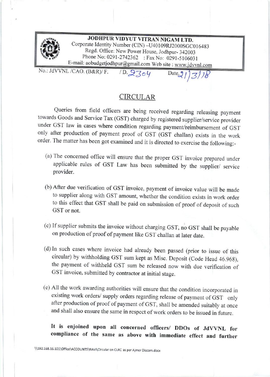

## CIRCULAR

Queries from field officers are being received regarding releasing payment towards Goods and Service Tax (GST) charged by registered supplier/service provider under GST law in cases where condition regarding payment/reimbursement of GST only after production of payment proof of GST (GST challan) exists in the work order. The matter has been got examined and it is directed to exercise the following:-

- (a) The concemed office will ensure that the proper GST invoice prepared under applicable rules of GST Law has been submitted by the supplier/ service provider.
- (b) After due verification of GST invoice, payment of invoice value will be made to supplier along with GST amount, whether the condition exists in work order to this effect that GST shall be paid on submission of proof of deposit of such GST or not.
- (c) If supplier submits the invoice without charging GST, no GST shall be payable on production of proof of payment like GST challan at later date.
- (d) tn such cases where invoice had already been passed (prior to issue of this circular) by withholding cST sum kept as Misc. Deposit (Code Head 46.968), the payment of withheld GST sum be released now with due verification of GST invoice, submitted by contractor at initial stage.
- (e) All the work awarding authorities wifl ensure that the condition incorporated in existing work orders/ supply orders regarding release of payment of GST only after production of proof of payment of GST, shall be amended suitably at once and shall also ensure the same in respect of work orders to be issued in future.

## It is enjoined upon all concerned officers/ DDOs of JdVVNL for compliance of the same as above with immediate effect and further

\\192.168.16.101\Office\ACCOUNTS\RAVI\Circular on CLRC as per Ajmer Discom.docx